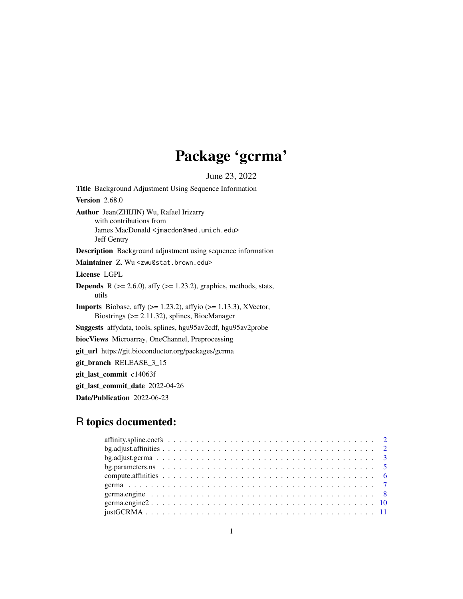## Package 'gcrma'

June 23, 2022

<span id="page-0-0"></span>Title Background Adjustment Using Sequence Information Version 2.68.0 Author Jean(ZHIJIN) Wu, Rafael Irizarry with contributions from James MacDonald <jmacdon@med.umich.edu> Jeff Gentry Description Background adjustment using sequence information Maintainer Z. Wu <zwu@stat.brown.edu> License LGPL **Depends** R  $(>= 2.6.0)$ , affy  $(>= 1.23.2)$ , graphics, methods, stats, utils **Imports** Biobase, affy  $(>= 1.23.2)$ , affyio  $(>= 1.13.3)$ , XVector, Biostrings (>= 2.11.32), splines, BiocManager Suggests affydata, tools, splines, hgu95av2cdf, hgu95av2probe biocViews Microarray, OneChannel, Preprocessing git\_url https://git.bioconductor.org/packages/gcrma git\_branch RELEASE\_3\_15 git\_last\_commit c14063f git\_last\_commit\_date 2022-04-26 Date/Publication 2022-06-23

## R topics documented: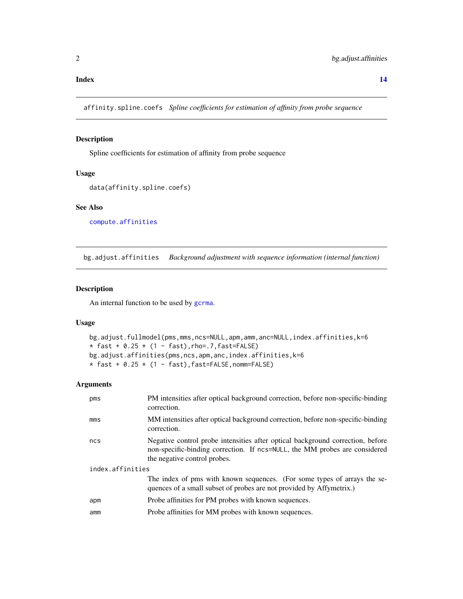#### <span id="page-1-0"></span>**Index** 2008 **[14](#page-13-0)**

<span id="page-1-1"></span>affinity.spline.coefs *Spline coefficients for estimation of affinity from probe sequence*

## Description

Spline coefficients for estimation of affinity from probe sequence

#### Usage

```
data(affinity.spline.coefs)
```
## See Also

[compute.affinities](#page-5-1)

bg.adjust.affinities *Background adjustment with sequence information (internal function)*

## Description

An internal function to be used by [gcrma](#page-6-1).

#### Usage

```
bg.adjust.fullmodel(pms,mms,ncs=NULL,apm,amm,anc=NULL,index.affinities,k=6
* fast + 0.25 * (1 - fast), rho=.7, fast=FALSE)
bg.adjust.affinities(pms,ncs,apm,anc,index.affinities,k=6
* fast + 0.25 * (1 - fast), fast=FALSE, nomm=FALSE)
```

| pms              | PM intensities after optical background correction, before non-specific-binding<br>correction.                                                                                               |  |
|------------------|----------------------------------------------------------------------------------------------------------------------------------------------------------------------------------------------|--|
| $mm$             | MM intensities after optical background correction, before non-specific-binding<br>correction.                                                                                               |  |
| ncs              | Negative control probe intensities after optical background correction, before<br>non-specific-binding correction. If ncs=NULL, the MM probes are considered<br>the negative control probes. |  |
| index.affinities |                                                                                                                                                                                              |  |
|                  | The index of pms with known sequences. (For some types of arrays the se-<br>quences of a small subset of probes are not provided by Affymetrix.)                                             |  |
| apm              | Probe affinities for PM probes with known sequences.                                                                                                                                         |  |
| amm              | Probe affinities for MM probes with known sequences.                                                                                                                                         |  |
|                  |                                                                                                                                                                                              |  |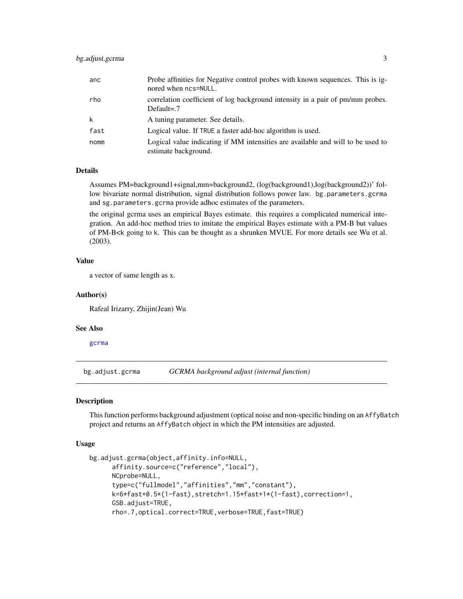<span id="page-2-0"></span>

| anc  | Probe affinities for Negative control probes with known sequences. This is ig-<br>nored when $ncs = NULL$ . |
|------|-------------------------------------------------------------------------------------------------------------|
| rho  | correlation coefficient of log background intensity in a pair of pm/mm probes.<br>Default= $.7$             |
| k    | A tuning parameter. See details.                                                                            |
| fast | Logical value. If TRUE a faster add-hoc algorithm is used.                                                  |
| nomm | Logical value indicating if MM intensities are available and will to be used to<br>estimate background.     |

## Details

Assumes PM=background1+signal,mm=background2, (log(background1),log(background2))' follow bivariate normal distribution, signal distribution follows power law. bg.parameters.gcrma and sg.parameters.gcrma provide adhoc estimates of the parameters.

the original gcrma uses an empirical Bayes estimate. this requires a complicated numerical integration. An add-hoc method tries to imitate the empirical Bayes estimate with a PM-B but values of PM-B<k going to k. This can be thought as a shrunken MVUE. For more details see Wu et al. (2003).

## Value

a vector of same length as x.

#### Author(s)

Rafeal Irizarry, Zhijin(Jean) Wu

#### See Also

[gcrma](#page-6-1)

bg.adjust.gcrma *GCRMA background adjust (internal function)*

#### Description

This function performs background adjustment (optical noise and non-specific binding on an AffyBatch project and returns an AffyBatch object in which the PM intensities are adjusted.

#### Usage

```
bg.adjust.gcrma(object,affinity.info=NULL,
     affinity.source=c("reference","local"),
     NCprobe=NULL,
     type=c("fullmodel","affinities","mm","constant"),
     k=6*fast+0.5*(1-fast),stretch=1.15*fast+1*(1-fast),correction=1,
     GSB.adjust=TRUE,
     rho=.7,optical.correct=TRUE,verbose=TRUE,fast=TRUE)
```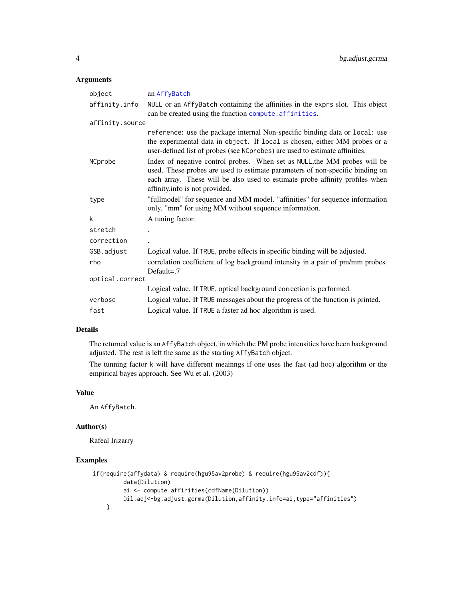## <span id="page-3-0"></span>Arguments

| object          | an AffyBatch                                                                                                                                                                                                                                                                 |  |
|-----------------|------------------------------------------------------------------------------------------------------------------------------------------------------------------------------------------------------------------------------------------------------------------------------|--|
| affinity.info   | NULL or an AffyBatch containing the affinities in the exprs slot. This object<br>can be created using the function compute. affinities.                                                                                                                                      |  |
| affinity.source |                                                                                                                                                                                                                                                                              |  |
|                 | reference: use the package internal Non-specific binding data or local: use<br>the experimental data in object. If local is chosen, either MM probes or a<br>user-defined list of probes (see NCprobes) are used to estimate affinities.                                     |  |
| NCprobe         | Index of negative control probes. When set as NULL, the MM probes will be<br>used. These probes are used to estimate parameters of non-specific binding on<br>each array. These will be also used to estimate probe affinity profiles when<br>affinity.info is not provided. |  |
| type            | "fullmodel" for sequence and MM model. "affinities" for sequence information<br>only. "mm" for using MM without sequence information.                                                                                                                                        |  |
| k               | A tuning factor.                                                                                                                                                                                                                                                             |  |
| stretch         |                                                                                                                                                                                                                                                                              |  |
| correction      |                                                                                                                                                                                                                                                                              |  |
| GSB.adjust      | Logical value. If TRUE, probe effects in specific binding will be adjusted.                                                                                                                                                                                                  |  |
| rho             | correlation coefficient of log background intensity in a pair of pm/mm probes.<br>Default= $.7$                                                                                                                                                                              |  |
| optical.correct |                                                                                                                                                                                                                                                                              |  |
|                 | Logical value. If TRUE, optical background correction is performed.                                                                                                                                                                                                          |  |
| verbose         | Logical value. If TRUE messages about the progress of the function is printed.                                                                                                                                                                                               |  |
| fast            | Logical value. If TRUE a faster ad hoc algorithm is used.                                                                                                                                                                                                                    |  |

## Details

The returned value is an AffyBatch object, in which the PM probe intensities have been background adjusted. The rest is left the same as the starting AffyBatch object.

The tunning factor k will have different meainngs if one uses the fast (ad hoc) algorithm or the empirical bayes approach. See Wu et al. (2003)

#### Value

An AffyBatch.

#### Author(s)

Rafeal Irizarry

## Examples

```
if(require(affydata) & require(hgu95av2probe) & require(hgu95av2cdf)){
         data(Dilution)
         ai <- compute.affinities(cdfName(Dilution))
        Dil.adj<-bg.adjust.gcrma(Dilution,affinity.info=ai,type="affinities")
    }
```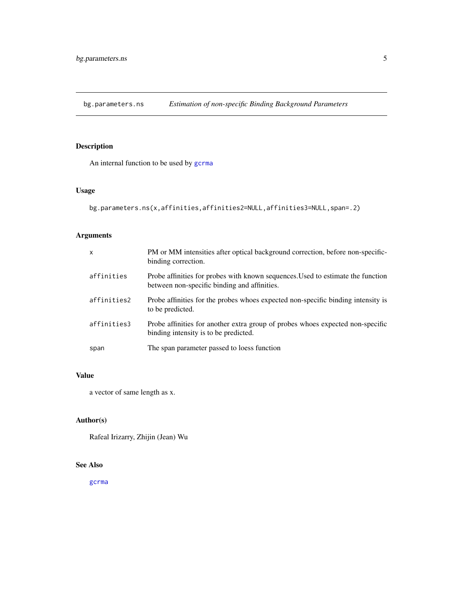<span id="page-4-0"></span>bg.parameters.ns *Estimation of non-specific Binding Background Parameters*

## Description

An internal function to be used by [gcrma](#page-6-1)

## Usage

```
bg.parameters.ns(x,affinities,affinities2=NULL,affinities3=NULL,span=.2)
```
## Arguments

| $\mathsf{x}$ | PM or MM intensities after optical background correction, before non-specific-<br>binding correction.                           |
|--------------|---------------------------------------------------------------------------------------------------------------------------------|
| affinities   | Probe affinities for probes with known sequences. Used to estimate the function<br>between non-specific binding and affinities. |
| affinities2  | Probe affinities for the probes whoes expected non-specific binding intensity is<br>to be predicted.                            |
| affinities3  | Probe affinities for another extra group of probes whoes expected non-specific<br>binding intensity is to be predicted.         |
| span         | The span parameter passed to loess function                                                                                     |

## Value

a vector of same length as x.

## Author(s)

Rafeal Irizarry, Zhijin (Jean) Wu

### See Also

[gcrma](#page-6-1)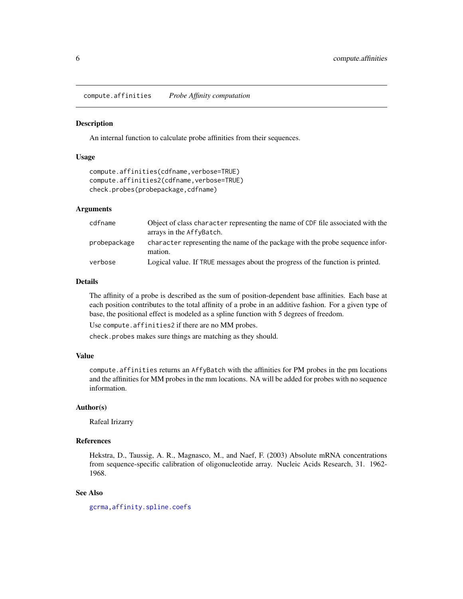<span id="page-5-1"></span><span id="page-5-0"></span>compute.affinities *Probe Affinity computation*

#### **Description**

An internal function to calculate probe affinities from their sequences.

## Usage

```
compute.affinities(cdfname, verbose=TRUE)
compute.affinities2(cdfname,verbose=TRUE)
check.probes(probepackage,cdfname)
```
#### Arguments

| cdfname      | Object of class character representing the name of CDF file associated with the<br>arrays in the AffyBatch. |
|--------------|-------------------------------------------------------------------------------------------------------------|
| probepackage | character representing the name of the package with the probe sequence infor-<br>mation.                    |
| verbose      | Logical value. If TRUE messages about the progress of the function is printed.                              |

#### Details

The affinity of a probe is described as the sum of position-dependent base affinities. Each base at each position contributes to the total affinity of a probe in an additive fashion. For a given type of base, the positional effect is modeled as a spline function with 5 degrees of freedom.

Use compute.affinities2 if there are no MM probes.

check.probes makes sure things are matching as they should.

## Value

compute.affinities returns an AffyBatch with the affinities for PM probes in the pm locations and the affinities for MM probes in the mm locations. NA will be added for probes with no sequence information.

## Author(s)

Rafeal Irizarry

## References

Hekstra, D., Taussig, A. R., Magnasco, M., and Naef, F. (2003) Absolute mRNA concentrations from sequence-specific calibration of oligonucleotide array. Nucleic Acids Research, 31. 1962- 1968.

#### See Also

[gcrma](#page-6-1)[,affinity.spline.coefs](#page-1-1)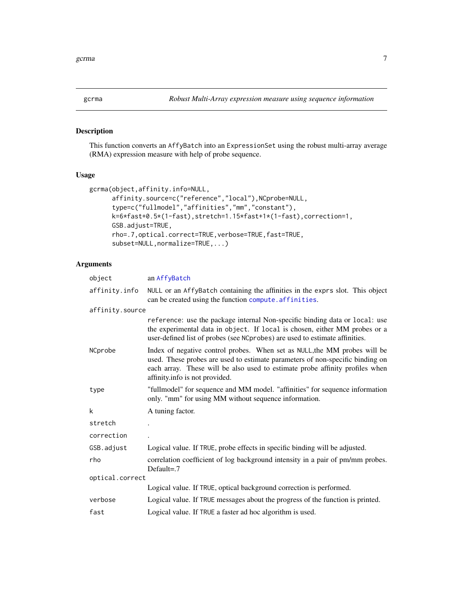<span id="page-6-1"></span><span id="page-6-0"></span>

## Description

This function converts an AffyBatch into an ExpressionSet using the robust multi-array average (RMA) expression measure with help of probe sequence.

## Usage

```
gcrma(object,affinity.info=NULL,
      affinity.source=c("reference","local"),NCprobe=NULL,
     type=c("fullmodel","affinities","mm","constant"),
      k=6*fast+0.5*(1-fast),stretch=1.15*fast+1*(1-fast),correction=1,
      GSB.adjust=TRUE,
     rho=.7,optical.correct=TRUE,verbose=TRUE,fast=TRUE,
      subset=NULL,normalize=TRUE,...)
```

| object          | an AffyBatch                                                                                                                                                                                                                                                                 |  |
|-----------------|------------------------------------------------------------------------------------------------------------------------------------------------------------------------------------------------------------------------------------------------------------------------------|--|
| affinity.info   | NULL or an AffyBatch containing the affinities in the exprs slot. This object<br>can be created using the function compute. affinities.                                                                                                                                      |  |
| affinity.source |                                                                                                                                                                                                                                                                              |  |
|                 | reference: use the package internal Non-specific binding data or local: use<br>the experimental data in object. If local is chosen, either MM probes or a<br>user-defined list of probes (see NCprobes) are used to estimate affinities.                                     |  |
| NCprobe         | Index of negative control probes. When set as NULL, the MM probes will be<br>used. These probes are used to estimate parameters of non-specific binding on<br>each array. These will be also used to estimate probe affinity profiles when<br>affinity.info is not provided. |  |
| type            | "fullmodel" for sequence and MM model. "affinities" for sequence information<br>only. "mm" for using MM without sequence information.                                                                                                                                        |  |
| k               | A tuning factor.                                                                                                                                                                                                                                                             |  |
| stretch         |                                                                                                                                                                                                                                                                              |  |
| correction      |                                                                                                                                                                                                                                                                              |  |
| GSB.adjust      | Logical value. If TRUE, probe effects in specific binding will be adjusted.                                                                                                                                                                                                  |  |
| rho             | correlation coefficient of log background intensity in a pair of pm/mm probes.<br>Default= $.7$                                                                                                                                                                              |  |
| optical.correct |                                                                                                                                                                                                                                                                              |  |
|                 | Logical value. If TRUE, optical background correction is performed.                                                                                                                                                                                                          |  |
| verbose         | Logical value. If TRUE messages about the progress of the function is printed.                                                                                                                                                                                               |  |
| fast            | Logical value. If TRUE a faster ad hoc algorithm is used.                                                                                                                                                                                                                    |  |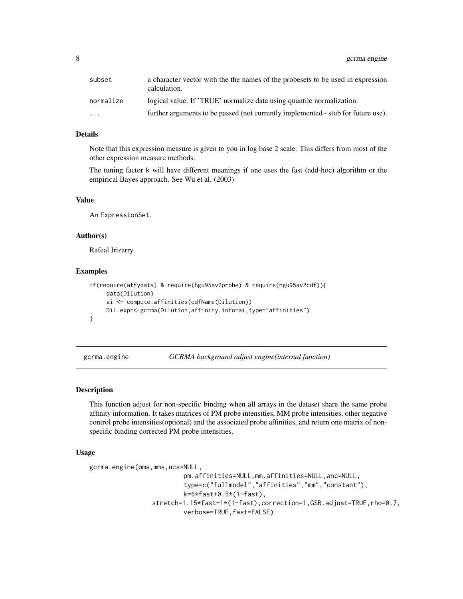<span id="page-7-0"></span>

| subset                  | a character vector with the the names of the probesets to be used in expression<br>calculation. |
|-------------------------|-------------------------------------------------------------------------------------------------|
| normalize               | logical value. If 'TRUE' normalize data using quantile normalization.                           |
| $\cdot$ $\cdot$ $\cdot$ | further arguments to be passed (not currently implemented - stub for future use).               |

## Details

Note that this expression measure is given to you in log base 2 scale. This differs from most of the other expression measure methods.

The tuning factor k will have different meanings if one uses the fast (add-hoc) algorithm or the empirical Bayes approach. See Wu et al. (2003)

## Value

An ExpressionSet.

#### Author(s)

Rafeal Irizarry

#### Examples

```
if(require(affydata) & require(hgu95av2probe) & require(hgu95av2cdf)){
     data(Dilution)
     ai <- compute.affinities(cdfName(Dilution))
    Dil.expr<-gcrma(Dilution,affinity.info=ai,type="affinities")
}
```
gcrma.engine *GCRMA background adjust engine(internal function)*

### Description

This function adjust for non-specific binding when all arrays in the dataset share the same probe affinity information. It takes matrices of PM probe intensities, MM probe intensities, other negative control probe intensities(optional) and the associated probe affinities, and return one matrix of nonspecific binding corrected PM probe intensities.

## Usage

```
gcrma.engine(pms,mms,ncs=NULL,
```

```
pm.affinities=NULL,mm.affinities=NULL,anc=NULL,
        type=c("fullmodel","affinities","mm","constant"),
        k=6*fast+0.5*(1-fast),
stretch=1.15*fast+1*(1-fast),correction=1,GSB.adjust=TRUE,rho=0.7,
        verbose=TRUE,fast=FALSE)
```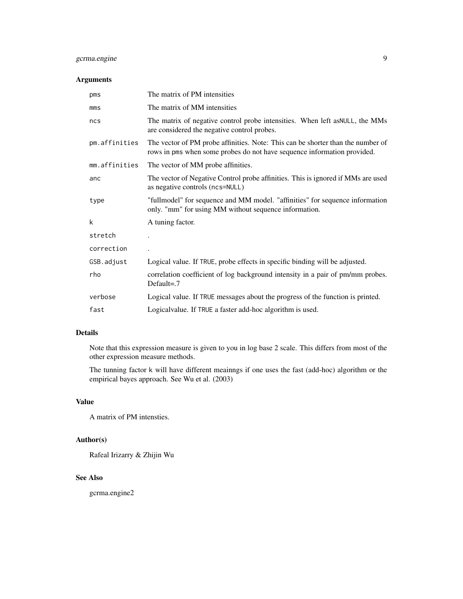## gcrma.engine 9

## Arguments

| pms           | The matrix of PM intensities                                                                                                                               |
|---------------|------------------------------------------------------------------------------------------------------------------------------------------------------------|
| $mm$          | The matrix of MM intensities                                                                                                                               |
| ncs           | The matrix of negative control probe intensities. When left as NULL, the MMs<br>are considered the negative control probes.                                |
| pm.affinities | The vector of PM probe affinities. Note: This can be shorter than the number of<br>rows in pms when some probes do not have sequence information provided. |
| mm.affinities | The vector of MM probe affinities.                                                                                                                         |
| anc           | The vector of Negative Control probe affinities. This is ignored if MMs are used<br>as negative controls (ncs=NULL)                                        |
| type          | "fullmodel" for sequence and MM model. "affinities" for sequence information<br>only. "mm" for using MM without sequence information.                      |
| k             | A tuning factor.                                                                                                                                           |
| stretch       |                                                                                                                                                            |
| correction    |                                                                                                                                                            |
| GSB.adjust    | Logical value. If TRUE, probe effects in specific binding will be adjusted.                                                                                |
| rho           | correlation coefficient of log background intensity in a pair of pm/mm probes.<br>Default= $.7$                                                            |
| verbose       | Logical value. If TRUE messages about the progress of the function is printed.                                                                             |
| fast          | Logical value. If TRUE a faster add-hoc algorithm is used.                                                                                                 |

## Details

Note that this expression measure is given to you in log base 2 scale. This differs from most of the other expression measure methods.

The tunning factor k will have different meainngs if one uses the fast (add-hoc) algorithm or the empirical bayes approach. See Wu et al. (2003)

## Value

A matrix of PM intensties.

## Author(s)

Rafeal Irizarry & Zhijin Wu

## See Also

gcrma.engine2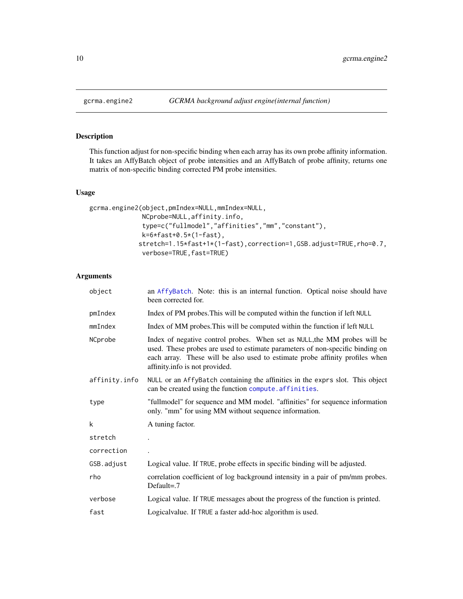<span id="page-9-0"></span>

## Description

This function adjust for non-specific binding when each array has its own probe affinity information. It takes an AffyBatch object of probe intensities and an AffyBatch of probe affinity, returns one matrix of non-specific binding corrected PM probe intensities.

#### Usage

```
gcrma.engine2(object,pmIndex=NULL,mmIndex=NULL,
              NCprobe=NULL,affinity.info,
              type=c("fullmodel","affinities","mm","constant"),
              k=6*fast+0.5*(1-fast),
             stretch=1.15*fast+1*(1-fast),correction=1,GSB.adjust=TRUE,rho=0.7,
              verbose=TRUE,fast=TRUE)
```

| object        | an AffyBatch. Note: this is an internal function. Optical noise should have<br>been corrected for.                                                                                                                                                                           |
|---------------|------------------------------------------------------------------------------------------------------------------------------------------------------------------------------------------------------------------------------------------------------------------------------|
| pmIndex       | Index of PM probes. This will be computed within the function if left NULL                                                                                                                                                                                                   |
| mmIndex       | Index of MM probes. This will be computed within the function if left NULL                                                                                                                                                                                                   |
| NCprobe       | Index of negative control probes. When set as NULL, the MM probes will be<br>used. These probes are used to estimate parameters of non-specific binding on<br>each array. These will be also used to estimate probe affinity profiles when<br>affinity.info is not provided. |
| affinity.info | NULL or an AffyBatch containing the affinities in the exprs slot. This object<br>can be created using the function compute. affinities.                                                                                                                                      |
| type          | "fullmodel" for sequence and MM model. "affinities" for sequence information<br>only. "mm" for using MM without sequence information.                                                                                                                                        |
| k             | A tuning factor.                                                                                                                                                                                                                                                             |
| stretch       |                                                                                                                                                                                                                                                                              |
| correction    |                                                                                                                                                                                                                                                                              |
| GSB.adjust    | Logical value. If TRUE, probe effects in specific binding will be adjusted.                                                                                                                                                                                                  |
| rho           | correlation coefficient of log background intensity in a pair of pm/mm probes.<br>Default= $.7$                                                                                                                                                                              |
| verbose       | Logical value. If TRUE messages about the progress of the function is printed.                                                                                                                                                                                               |
| fast          | Logicalvalue. If TRUE a faster add-hoc algorithm is used.                                                                                                                                                                                                                    |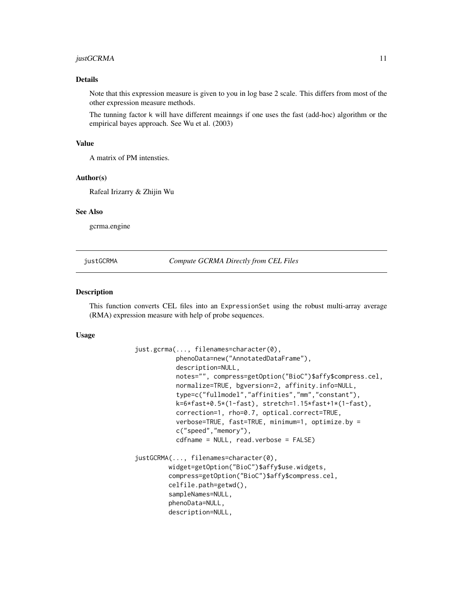#### <span id="page-10-0"></span>justGCRMA 11

## Details

Note that this expression measure is given to you in log base 2 scale. This differs from most of the other expression measure methods.

The tunning factor k will have different meainngs if one uses the fast (add-hoc) algorithm or the empirical bayes approach. See Wu et al. (2003)

#### Value

A matrix of PM intensties.

#### Author(s)

Rafeal Irizarry & Zhijin Wu

## See Also

gcrma.engine

justGCRMA *Compute GCRMA Directly from CEL Files*

## **Description**

This function converts CEL files into an ExpressionSet using the robust multi-array average (RMA) expression measure with help of probe sequences.

#### Usage

```
just.gcrma(..., filenames=character(0),
           phenoData=new("AnnotatedDataFrame"),
           description=NULL,
           notes="", compress=getOption("BioC")$affy$compress.cel,
           normalize=TRUE, bgversion=2, affinity.info=NULL,
           type=c("fullmodel","affinities","mm","constant"),
           k=6*fast+0.5*(1-fast), stretch=1.15*fast+1*(1-fast),
           correction=1, rho=0.7, optical.correct=TRUE,
           verbose=TRUE, fast=TRUE, minimum=1, optimize.by =
           c("speed","memory"),
           cdfname = NULL, read.verbose = FALSE)
justGCRMA(..., filenames=character(0),
         widget=getOption("BioC")$affy$use.widgets,
         compress=getOption("BioC")$affy$compress.cel,
         celfile.path=getwd(),
         sampleNames=NULL,
         phenoData=NULL,
         description=NULL,
```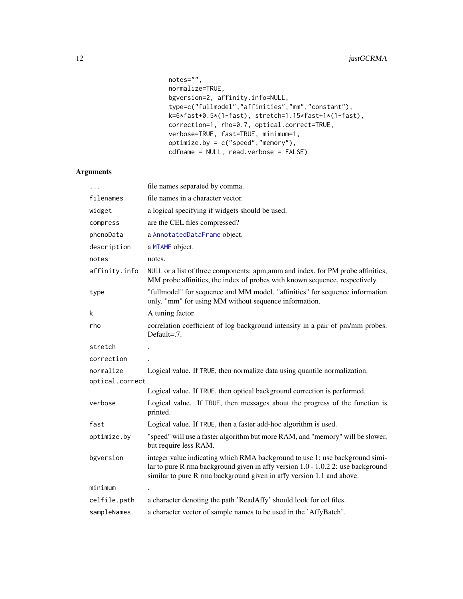```
notes="",
normalize=TRUE,
bgversion=2, affinity.info=NULL,
type=c("fullmodel","affinities","mm","constant"),
k=6*fast+0.5*(1-fast), stretch=1.15*fast+1*(1-fast),
correction=1, rho=0.7, optical.correct=TRUE,
verbose=TRUE, fast=TRUE, minimum=1,
optimize.by = c("speed","memory"),
cdfname = NULL, read.verbose = FALSE)
```

|                 | file names separated by comma.                                                                                                                                                                                                            |
|-----------------|-------------------------------------------------------------------------------------------------------------------------------------------------------------------------------------------------------------------------------------------|
| filenames       | file names in a character vector.                                                                                                                                                                                                         |
| widget          | a logical specifying if widgets should be used.                                                                                                                                                                                           |
| compress        | are the CEL files compressed?                                                                                                                                                                                                             |
| phenoData       | a AnnotatedDataFrame object.                                                                                                                                                                                                              |
| description     | a MIAME object.                                                                                                                                                                                                                           |
| notes           | notes.                                                                                                                                                                                                                                    |
| affinity.info   | NULL or a list of three components: apm, amm and index, for PM probe affinities,<br>MM probe affinities, the index of probes with known sequence, respectively.                                                                           |
| type            | "fullmodel" for sequence and MM model. "affinities" for sequence information<br>only. "mm" for using MM without sequence information.                                                                                                     |
| k               | A tuning factor.                                                                                                                                                                                                                          |
| rho             | correlation coefficient of log background intensity in a pair of pm/mm probes.<br>Default=.7.                                                                                                                                             |
| stretch         |                                                                                                                                                                                                                                           |
| correction      |                                                                                                                                                                                                                                           |
| normalize       | Logical value. If TRUE, then normalize data using quantile normalization.                                                                                                                                                                 |
| optical.correct |                                                                                                                                                                                                                                           |
|                 | Logical value. If TRUE, then optical background correction is performed.                                                                                                                                                                  |
| verbose         | Logical value. If TRUE, then messages about the progress of the function is<br>printed.                                                                                                                                                   |
| fast            | Logical value. If TRUE, then a faster add-hoc algorithm is used.                                                                                                                                                                          |
| optimize.by     | "speed" will use a faster algorithm but more RAM, and "memory" will be slower,<br>but require less RAM.                                                                                                                                   |
| bgversion       | integer value indicating which RMA background to use 1: use background simi-<br>lar to pure R rma background given in affy version 1.0 - 1.0.2 2: use background<br>similar to pure R rma background given in affy version 1.1 and above. |
| minimum         |                                                                                                                                                                                                                                           |
| celfile.path    | a character denoting the path 'ReadAffy' should look for cel files.                                                                                                                                                                       |
| sampleNames     | a character vector of sample names to be used in the 'AffyBatch'.                                                                                                                                                                         |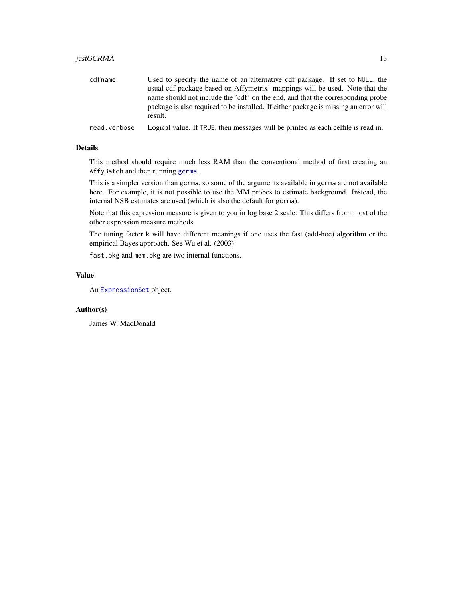## <span id="page-12-0"></span>justGCRMA 13

| cdfname      | Used to specify the name of an alternative cdf package. If set to NULL, the<br>usual cdf package based on Affymetrix' mappings will be used. Note that the<br>name should not include the 'cdf' on the end, and that the corresponding probe<br>package is also required to be installed. If either package is missing an error will |
|--------------|--------------------------------------------------------------------------------------------------------------------------------------------------------------------------------------------------------------------------------------------------------------------------------------------------------------------------------------|
|              | result.                                                                                                                                                                                                                                                                                                                              |
| read.verbose | Logical value. If TRUE, then messages will be printed as each celfile is read in.                                                                                                                                                                                                                                                    |

#### Details

This method should require much less RAM than the conventional method of first creating an AffyBatch and then running [gcrma](#page-6-1).

This is a simpler version than gcrma, so some of the arguments available in gcrma are not available here. For example, it is not possible to use the MM probes to estimate background. Instead, the internal NSB estimates are used (which is also the default for gcrma).

Note that this expression measure is given to you in log base 2 scale. This differs from most of the other expression measure methods.

The tuning factor k will have different meanings if one uses the fast (add-hoc) algorithm or the empirical Bayes approach. See Wu et al. (2003)

fast.bkg and mem.bkg are two internal functions.

## Value

An [ExpressionSet](#page-0-0) object.

## Author(s)

James W. MacDonald